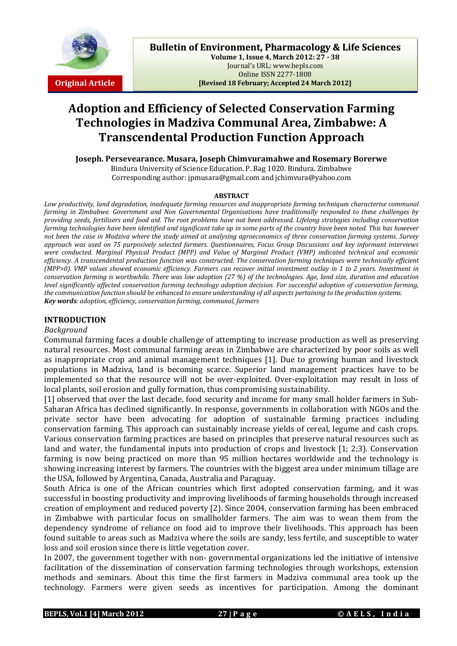

**Volume 1, Issue 4, March 2012: 27 - 38** Journal's URL: www.bepls.com Online ISSN 2277-1808 **Original Article [Revised 18 February; Accepted 24 March 2012]**

# **Adoption and Efficiency of Selected Conservation Farming Technologies in Madziva Communal Area, Zimbabwe: A Transcendental Production Function Approach**

**Joseph. Persevearance. Musara, Joseph Chimvuramahwe and Rosemary Borerwe** Bindura University of Science Education. P. Bag 1020. Bindura. Zimbabwe Corresponding author: jpmusara@gmail.com and jchimvura@yahoo.com

#### **ABSTRACT**

*Low productivity, land degradation, inadequate farming resources and inappropriate farming techniques characterise communal farming in Zimbabwe. Government and Non Governmental Organisations have traditionally responded to these challenges by providing seeds, fertilisers and food aid. The root problems have not been addressed. Lifelong strategies including conservation farming technologies have been identified and significant take up in some parts of the country have been noted. This has however not been the case in Madziva where the study aimed at analysing agroeconomics of three conservation farming systems. Survey approach was used on 75 purposively selected farmers. Questionnaires, Focus Group Discussions and key informant interviews were conducted. Marginal Physical Product (MPP) and Value of Marginal Product (VMP) indicated technical and economic efficiency. A transcendental production function was constructed. The conservation farming techniques were technically efficient (MPP>0). VMP values showed economic efficiency. Farmers can recover initial investment outlay in 1 to 2 years. Investment in conservation farming is worthwhile. There was low adoption (27 %) of the technologies. Age, land size, duration and education level significantly affected conservation farming technology adoption decision. For successful adoption of conservation farming, the communication function should be enhanced to ensure understanding of all aspects pertaining to the production systems. Key words: adoption, efficiency, conservation farming, communal, farmers*

## **INTRODUCTION**

## *Background*

Communal farming faces a double challenge of attempting to increase production as well as preserving natural resources. Most communal farming areas in Zimbabwe are characterized by poor soils as well as inappropriate crop and animal management techniques [1]. Due to growing human and livestock populations in Madziva, land is becoming scarce. Superior land management practices have to be implemented so that the resource will not be over-exploited. Over-exploitation may result in loss of local plants, soil erosion and gully formation, thus compromising sustainability.

[1] observed that over the last decade, food security and income for many small holder farmers in Sub-Saharan Africa has declined significantly. In response, governments in collaboration with NGOs and the private sector have been advocating for adoption of sustainable farming practices including conservation farming. This approach can sustainably increase yields of cereal, legume and cash crops. Various conservation farming practices are based on principles that preserve natural resources such as land and water, the fundamental inputs into production of crops and livestock [1; 2;3]. Conservation farming is now being practiced on more than 95 million hectares worldwide and the technology is showing increasing interest by farmers. The countries with the biggest area under minimum tillage are the USA, followed by Argentina, Canada, Australia and Paraguay.

South Africa is one of the African countries which first adopted conservation farming, and it was successful in boosting productivity and improving livelihoods of farming households through increased creation of employment and reduced poverty [2). Since 2004, conservation farming has been embraced in Zimbabwe with particular focus on smallholder farmers. The aim was to wean them from the dependency syndrome of reliance on food aid to improve their livelihoods. This approach has been found suitable to areas such as Madziva where the soils are sandy, less fertile, and susceptible to water loss and soil erosion since there is little vegetation cover.

In 2007, the government together with non- governmental organizations led the initiative of intensive facilitation of the dissemination of conservation farming technologies through workshops, extension methods and seminars. About this time the first farmers in Madziva communal area took up the technology. Farmers were given seeds as incentives for participation. Among the dominant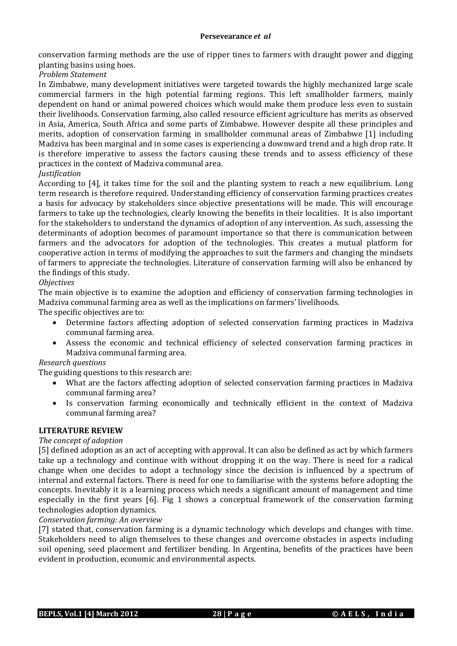conservation farming methods are the use of ripper tines to farmers with draught power and digging planting basins using hoes.

*Problem Statement*

In Zimbabwe, many development initiatives were targeted towards the highly mechanized large scale commercial farmers in the high potential farming regions. This left smallholder farmers, mainly dependent on hand or animal powered choices which would make them produce less even to sustain their livelihoods. Conservation farming, also called resource efficient agriculture has merits as observed in Asia, America, South Africa and some parts of Zimbabwe. However despite all these principles and merits, adoption of conservation farming in smallholder communal areas of Zimbabwe [1] including Madziva has been marginal and in some cases is experiencing a downward trend and a high drop rate. It is therefore imperative to assess the factors causing these trends and to assess efficiency of these practices in the context of Madziva communal area.

## *Justification*

According to [4], it takes time for the soil and the planting system to reach a new equilibrium. Long term research is therefore required. Understanding efficiency of conservation farming practices creates a basis for advocacy by stakeholders since objective presentations will be made. This will encourage farmers to take up the technologies, clearly knowing the benefits in their localities. It is also important for the stakeholders to understand the dynamics of adoption of any intervention. As such, assessing the determinants of adoption becomes of paramount importance so that there is communication between farmers and the advocators for adoption of the technologies. This creates a mutual platform for cooperative action in terms of modifying the approaches to suit the farmers and changing the mindsets of farmers to appreciate the technologies. Literature of conservation farming will also be enhanced by the findings of this study.

## *Objectives*

The main objective is to examine the adoption and efficiency of conservation farming technologies in Madziva communal farming area as well as the implications on farmers' livelihoods.

The specific objectives are to:

- Determine factors affecting adoption of selected conservation farming practices in Madziva communal farming area.
- Assess the economic and technical efficiency of selected conservation farming practices in Madziva communal farming area.

# *Research questions*

The guiding questions to this research are:

- What are the factors affecting adoption of selected conservation farming practices in Madziva communal farming area?
- Is conservation farming economically and technically efficient in the context of Madziva communal farming area?

## **LITERATURE REVIEW**

# *The concept of adoption*

[5] defined adoption as an act of accepting with approval. It can also be defined as act by which farmers take up a technology and continue with without dropping it on the way. There is need for a radical change when one decides to adopt a technology since the decision is influenced by a spectrum of internal and external factors. There is need for one to familiarise with the systems before adopting the concepts. Inevitably it is a learning process which needs a significant amount of management and time especially in the first years [6]. Fig 1 shows a conceptual framework of the conservation farming technologies adoption dynamics.

## *Conservation farming: An overview*

[7] stated that, conservation farming is a dynamic technology which develops and changes with time. Stakeholders need to align themselves to these changes and overcome obstacles in aspects including soil opening, seed placement and fertilizer bending. In Argentina, benefits of the practices have been evident in production, economic and environmental aspects.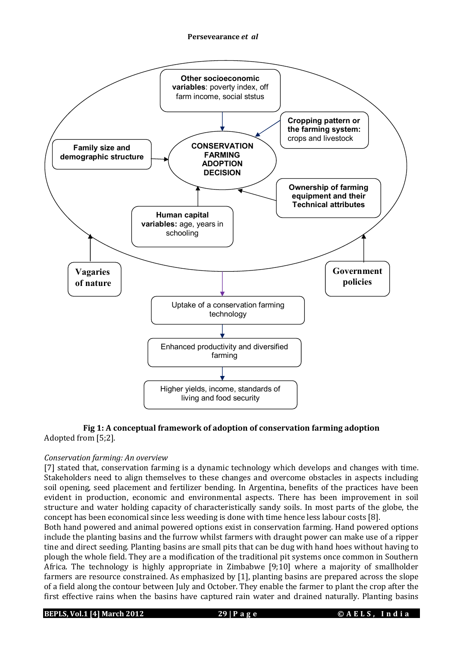

# **Fig 1: A conceptual framework of adoption of conservation farming adoption** Adopted from [5;2].

# *Conservation farming: An overview*

[7] stated that, conservation farming is a dynamic technology which develops and changes with time. Stakeholders need to align themselves to these changes and overcome obstacles in aspects including soil opening, seed placement and fertilizer bending. In Argentina, benefits of the practices have been evident in production, economic and environmental aspects. There has been improvement in soil structure and water holding capacity of characteristically sandy soils. In most parts of the globe, the concept has been economical since less weeding is done with time hence less labour costs [8].

Both hand powered and animal powered options exist in conservation farming. Hand powered options include the planting basins and the furrow whilst farmers with draught power can make use of a ripper tine and direct seeding. Planting basins are small pits that can be dug with hand hoes without having to plough the whole field. They are a modification of the traditional pit systems once common in Southern Africa. The technology is highly appropriate in Zimbabwe [9;10] where a majority of smallholder farmers are resource constrained. As emphasized by [1], planting basins are prepared across the slope of a field along the contour between July and October. They enable the farmer to plant the crop after the first effective rains when the basins have captured rain water and drained naturally. Planting basins

**BEPLS, Vol.1 [4] March 2012 29 | P a g e © A E L S , I n d i a**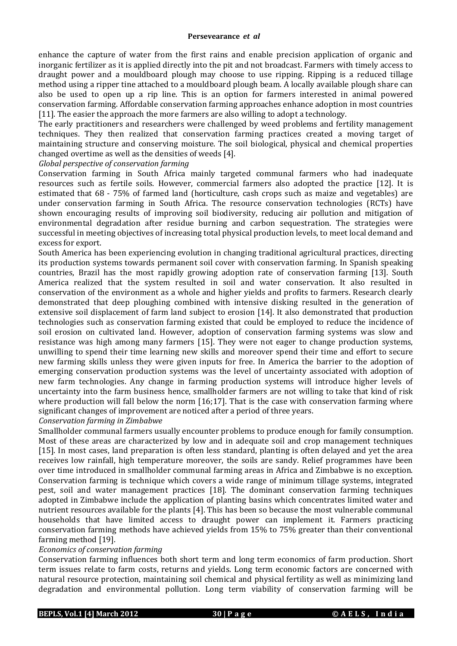enhance the capture of water from the first rains and enable precision application of organic and inorganic fertilizer as it is applied directly into the pit and not broadcast. Farmers with timely access to draught power and a mouldboard plough may choose to use ripping. Ripping is a reduced tillage method using a ripper tine attached to a mouldboard plough beam. A locally available plough share can also be used to open up a rip line. This is an option for farmers interested in animal powered conservation farming. Affordable conservation farming approaches enhance adoption in most countries [11]. The easier the approach the more farmers are also willing to adopt a technology.

The early practitioners and researchers were challenged by weed problems and fertility management techniques. They then realized that conservation farming practices created a moving target of maintaining structure and conserving moisture. The soil biological, physical and chemical properties changed overtime as well as the densities of weeds [4].

## *Global perspective of conservation farming*

Conservation farming in South Africa mainly targeted communal farmers who had inadequate resources such as fertile soils. However, commercial farmers also adopted the practice [12]. It is estimated that 68 - 75% of farmed land (horticulture, cash crops such as maize and vegetables) are under conservation farming in South Africa. The resource conservation technologies (RCTs) have shown encouraging results of improving soil biodiversity, reducing air pollution and mitigation of environmental degradation after residue burning and carbon sequestration. The strategies were successful in meeting objectives of increasing total physical production levels, to meet local demand and excess for export.

South America has been experiencing evolution in changing traditional agricultural practices, directing its production systems towards permanent soil cover with conservation farming. In Spanish speaking countries, Brazil has the most rapidly growing adoption rate of conservation farming [13]. South America realized that the system resulted in soil and water conservation. It also resulted in conservation of the environment as a whole and higher yields and profits to farmers. Research clearly demonstrated that deep ploughing combined with intensive disking resulted in the generation of extensive soil displacement of farm land subject to erosion [14]. It also demonstrated that production technologies such as conservation farming existed that could be employed to reduce the incidence of soil erosion on cultivated land. However, adoption of conservation farming systems was slow and resistance was high among many farmers [15]. They were not eager to change production systems, unwilling to spend their time learning new skills and moreover spend their time and effort to secure new farming skills unless they were given inputs for free. In America the barrier to the adoption of emerging conservation production systems was the level of uncertainty associated with adoption of new farm technologies. Any change in farming production systems will introduce higher levels of uncertainty into the farm business hence, smallholder farmers are not willing to take that kind of risk where production will fall below the norm [16;17]. That is the case with conservation farming where significant changes of improvement are noticed after a period of three years.

## *Conservation farming in Zimbabwe*

Smallholder communal farmers usually encounter problems to produce enough for family consumption. Most of these areas are characterized by low and in adequate soil and crop management techniques [15]. In most cases, land preparation is often less standard, planting is often delayed and yet the area receives low rainfall, high temperature moreover, the soils are sandy. Relief programmes have been over time introduced in smallholder communal farming areas in Africa and Zimbabwe is no exception. Conservation farming is technique which covers a wide range of minimum tillage systems, integrated pest, soil and water management practices [18]. The dominant conservation farming techniques adopted in Zimbabwe include the application of planting basins which concentrates limited water and nutrient resources available for the plants [4]. This has been so because the most vulnerable communal households that have limited access to draught power can implement it. Farmers practicing conservation farming methods have achieved yields from 15% to 75% greater than their conventional farming method [19].

## *Economics of conservation farming*

Conservation farming influences both short term and long term economics of farm production. Short term issues relate to farm costs, returns and yields. Long term economic factors are concerned with natural resource protection, maintaining soil chemical and physical fertility as well as minimizing land degradation and environmental pollution. Long term viability of conservation farming will be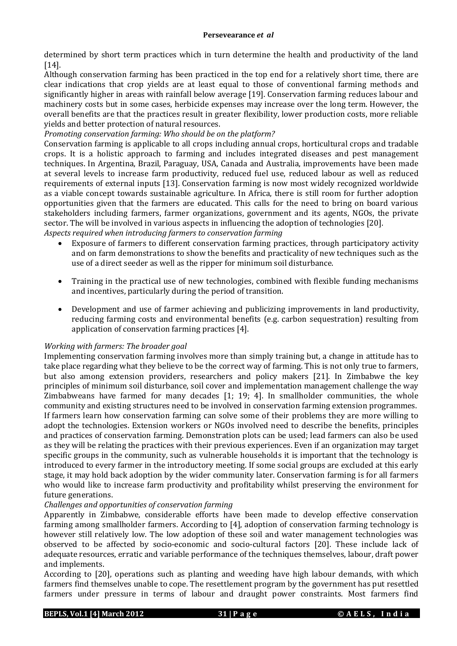determined by short term practices which in turn determine the health and productivity of the land [14].

Although conservation farming has been practiced in the top end for a relatively short time, there are clear indications that crop yields are at least equal to those of conventional farming methods and significantly higher in areas with rainfall below average [19]. Conservation farming reduces labour and machinery costs but in some cases, herbicide expenses may increase over the long term. However, the overall benefits are that the practices result in greater flexibility, lower production costs, more reliable yields and better protection of natural resources.

## *Promoting conservation farming: Who should be on the platform?*

Conservation farming is applicable to all crops including annual crops, horticultural crops and tradable crops. It is a holistic approach to farming and includes integrated diseases and pest management techniques. In Argentina, Brazil, Paraguay, USA, Canada and Australia, improvements have been made at several levels to increase farm productivity, reduced fuel use, reduced labour as well as reduced requirements of external inputs [13]. Conservation farming is now most widely recognized worldwide as a viable concept towards sustainable agriculture. In Africa, there is still room for further adoption opportunities given that the farmers are educated. This calls for the need to bring on board various stakeholders including farmers, farmer organizations, government and its agents, NGOs, the private sector. The will be involved in various aspects in influencing the adoption of technologies [20]. *Aspects required when introducing farmers to conservation farming*

- Exposure of farmers to different conservation farming practices, through participatory activity and on farm demonstrations to show the benefits and practicality of new techniques such as the use of a direct seeder as well as the ripper for minimum soil disturbance.
- Training in the practical use of new technologies, combined with flexible funding mechanisms and incentives, particularly during the period of transition.
- Development and use of farmer achieving and publicizing improvements in land productivity, reducing farming costs and environmental benefits (e.g. carbon sequestration) resulting from application of conservation farming practices [4].

## *Working with farmers: The broader goal*

Implementing conservation farming involves more than simply training but, a change in attitude has to take place regarding what they believe to be the correct way of farming. This is not only true to farmers, but also among extension providers, researchers and policy makers [21]. In Zimbabwe the key principles of minimum soil disturbance, soil cover and implementation management challenge the way Zimbabweans have farmed for many decades  $[1; 19; 4]$ . In smallholder communities, the whole community and existing structures need to be involved in conservation farming extension programmes. If farmers learn how conservation farming can solve some of their problems they are more willing to adopt the technologies. Extension workers or NGOs involved need to describe the benefits, principles and practices of conservation farming. Demonstration plots can be used; lead farmers can also be used as they will be relating the practices with their previous experiences. Even if an organization may target specific groups in the community, such as vulnerable households it is important that the technology is introduced to every farmer in the introductory meeting. If some social groups are excluded at this early stage, it may hold back adoption by the wider community later. Conservation farming is for all farmers who would like to increase farm productivity and profitability whilst preserving the environment for future generations.

## *Challenges and opportunities of conservation farming*

Apparently in Zimbabwe, considerable efforts have been made to develop effective conservation farming among smallholder farmers. According to [4], adoption of conservation farming technology is however still relatively low. The low adoption of these soil and water management technologies was observed to be affected by socio-economic and socio-cultural factors [20]. These include lack of adequate resources, erratic and variable performance of the techniques themselves, labour, draft power and implements.

According to [20], operations such as planting and weeding have high labour demands, with which farmers find themselves unable to cope. The resettlement program by the government has put resettled farmers under pressure in terms of labour and draught power constraints. Most farmers find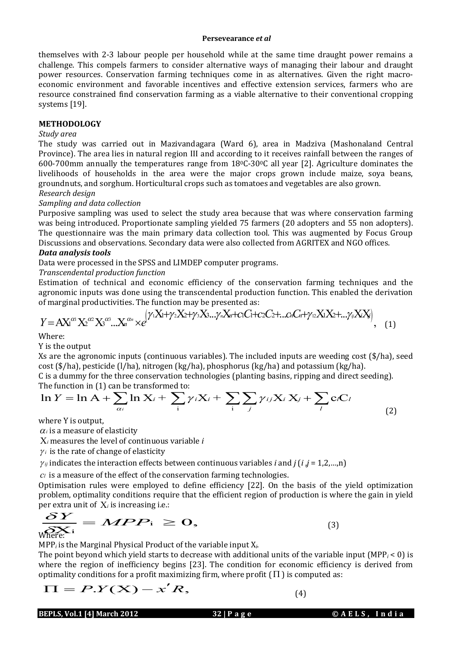#### **Persevearance** *et al*

themselves with 2-3 labour people per household while at the same time draught power remains a challenge. This compels farmers to consider alternative ways of managing their labour and draught power resources. Conservation farming techniques come in as alternatives. Given the right macroeconomic environment and favorable incentives and effective extension services, farmers who are resource constrained find conservation farming as a viable alternative to their conventional cropping systems [19].

## **METHODOLOGY**

## *Study area*

The study was carried out in Mazivandagara (Ward 6), area in Madziva (Mashonaland Central Province). The area lies in natural region III and according to it receives rainfall between the ranges of 600-700mm annually the temperatures range from  $18^{\circ}$ C-30 $^{\circ}$ C all year [2]. Agriculture dominates the livelihoods of households in the area were the major crops grown include maize, soya beans, groundnuts, and sorghum. Horticultural crops such as tomatoes and vegetables are also grown. *Research design*

## *Sampling and data collection*

Purposive sampling was used to select the study area because that was where conservation farming was being introduced. Proportionate sampling yielded 75 farmers (20 adopters and 55 non adopters). The questionnaire was the main primary data collection tool. This was augmented by Focus Group Discussions and observations. Secondary data were also collected from AGRITEX and NGO offices.

## *Data analysis tools*

Data were processed in the SPSS and LIMDEP computer programs.

## *Transcendental production function*

Estimation of technical and economic efficiency of the conservation farming techniques and the agronomic inputs was done using the transcendental production function. This enabled the derivation of marginal productivities. The function may be presented as:

$$
Y = AX^{\alpha_1}X^{\alpha_2}X^{\alpha_3}...X^{\alpha_n} \times e^{(\gamma_1X_1+\gamma_2X_2+\gamma_3X_3... \gamma_nX_n+c_1C_1+c_2C_2+...c_nC_n+\gamma_2X_1X_2+... \gamma_iX_iX_j)}, \quad (1)
$$

Where:

Y is the output

Xs are the agronomic inputs (continuous variables). The included inputs are weeding cost (\$/ha), seed cost (\$/ha), pesticide (l/ha), nitrogen (kg/ha), phosphorus (kg/ha) and potassium (kg/ha).

C is a dummy for the three conservation technologies (planting basins, ripping and direct seeding). The function in (1) can be transformed to:

$$
\ln Y = \ln A + \sum_{\alpha_i} \ln X_i + \sum_{i} \gamma_i X_i + \sum_{j} \sum_{j} \gamma_{ij} X_i X_j + \sum_{l} c_l C_l
$$
\n(2)

where Y is output,

 $\alpha_i$  is a measure of elasticity

*<sup>i</sup>* measures the level of continuous variable *i*

 $\gamma_i$  is the rate of change of elasticity

 $\gamma_{ij}$  indicates the interaction effects between continuous variables *i* and *j* (*i* ,*j* = 1,2,...,n)

*c<sup>l</sup>* is a measure of the effect of the conservation farming technologies.

Optimisation rules were employed to define efficiency [22]. On the basis of the yield optimization problem, optimality conditions require that the efficient region of production is where the gain in yield

per extra unit of 
$$
X_i
$$
 is increasing i.e.:  
\n
$$
\frac{\delta Y}{\delta N} = MPP_i \ge 0,
$$
\n(3)

MPP*<sup>i</sup>* is the Marginal Physical Product of the variable input X*i*.

The point beyond which yield starts to decrease with additional units of the variable input (MPP $<sub>i</sub>$  < 0) is</sub> where the region of inefficiency begins [23]. The condition for economic efficiency is derived from optimality conditions for a profit maximizing firm, where profit (  $\Pi$  ) is computed as:<br>  $\boldsymbol{\Pi} = \boldsymbol{P}.\boldsymbol{Y}(\boldsymbol{\mathbf{X}}) - \boldsymbol{x'}\boldsymbol{R},$  (4)

$$
\Pi = P.Y(X) - x'R
$$

(4)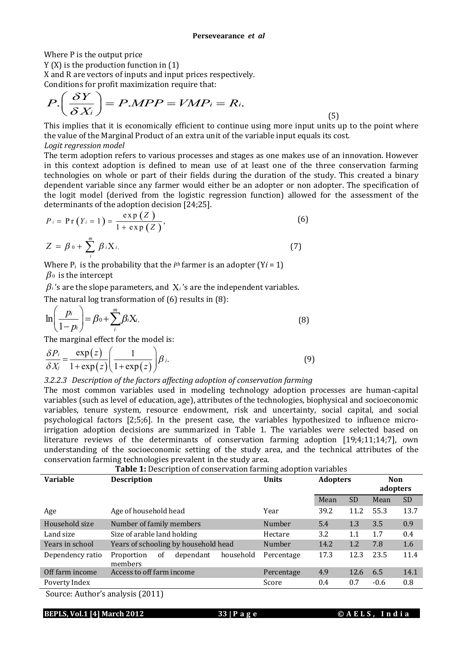Where P is the output price

Y (X) is the production function in (1)

X and R are vectors of inputs and input prices respectively.

Conditions for profit maximization require that:

$$
P\left(\frac{\delta Y}{\delta X_i}\right) = P.MPP = VMP_i = R_i.
$$
\n<sup>(5)</sup>

This implies that it is economically efficient to continue using more input units up to the point where the value of the Marginal Product of an extra unit of the variable input equals its cost. *Logit regression model* 

The term adoption refers to various processes and stages as one makes use of an innovation. However in this context adoption is defined to mean use of at least one of the three conservation farming technologies on whole or part of their fields during the duration of the study. This created a binary dependent variable since any farmer would either be an adopter or non adopter. The specification of the logit model (derived from the logistic regression function) allowed for the assessment of the determinants of the adoption decision [24;25].

$$
P_{i} = \Pr(Y_{i} = 1) = \frac{\exp(Z)}{1 + \exp(Z)},
$$
\n
$$
Z = \beta_{0} + \sum_{i}^{m} \beta_{i} X_{i},
$$
\n(7)

Where  $P_i$  is the probability that the *i*<sup>th</sup> farmer is an adopter (Y*i* = 1)  $\beta_0$  is the intercept

 $\beta_i$ 's are the slope parameters, and  $X_i$ 's are the independent variables.

The natural log transformation of (6) results in (8):

$$
\ln\left(\frac{p_i}{1-p_i}\right) = \beta_0 + \sum_{i}^{m} \beta_i X_i,\tag{8}
$$

The marginal effect for the model is:

$$
\frac{\delta P_i}{\delta X_j} = \frac{\exp(z)}{1 + \exp(z)} \left( \frac{1}{1 + \exp(z)} \right) \beta_j.
$$
\n(9)

*3.2.2.3 Description of the factors affecting adoption of conservation farming*

The most common variables used in modeling technology adoption processes are human-capital variables (such as level of education, age), attributes of the technologies, biophysical and socioeconomic variables, tenure system, resource endowment, risk and uncertainty, social capital, and social psychological factors [2;5;6]. In the present case, the variables hypothesized to influence microirrigation adoption decisions are summarized in Table 1. The variables were selected based on literature reviews of the determinants of conservation farming adoption [19;4;11;14;7], own understanding of the socioeconomic setting of the study area, and the technical attributes of the conservation farming technologies prevalent in the study area.

| <b>Table 1:</b> Description of conservation farming adoption variables  |                                                       |              |                 |           |                        |           |
|-------------------------------------------------------------------------|-------------------------------------------------------|--------------|-----------------|-----------|------------------------|-----------|
| <b>Variable</b>                                                         | <b>Description</b>                                    | <b>Units</b> | <b>Adopters</b> |           | <b>Non</b><br>adopters |           |
|                                                                         |                                                       |              | Mean            | <b>SD</b> | Mean                   | <b>SD</b> |
| Age                                                                     | Age of household head                                 | Year         | 39.2            | 11.2      | 55.3                   | 13.7      |
| Household size                                                          | Number of family members                              | Number       | 5.4             | 1.3       | 3.5                    | 0.9       |
| Land size                                                               | Size of arable land holding                           | Hectare      | 3.2             | 1.1       | 1.7                    | 0.4       |
| Years in school                                                         | Years of schooling by household head                  | Number       | 14.2            | 1.2       | 7.8                    | 1.6       |
| Dependency ratio                                                        | dependant<br>household<br>Proportion<br>οf<br>members | Percentage   | 17.3            | 12.3      | 23.5                   | 11.4      |
| Off farm income                                                         | Access to off farm income                             | Percentage   | 4.9             | 12.6      | 6.5                    | 14.1      |
| Poverty Index                                                           |                                                       | Score        | 0.4             | 0.7       | $-0.6$                 | 0.8       |
| $C_{21}$ $A_{11}$ $A_{22}$ $A_{33}$ $A_{12}$ $A_{23}$ $A_{24}$ $A_{35}$ |                                                       |              |                 |           |                        |           |

Source: Author's analysis (2011)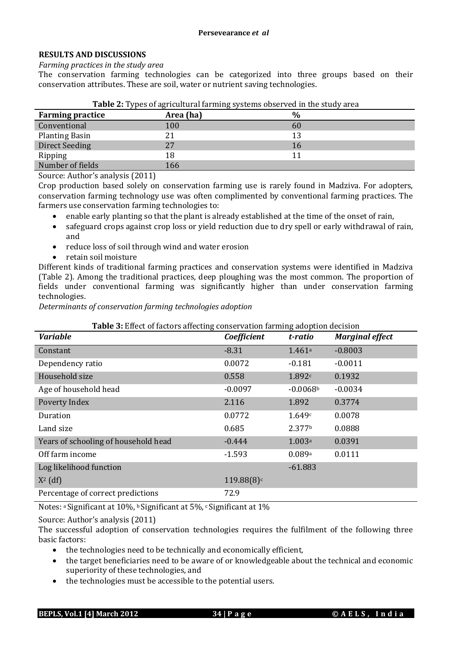## **RESULTS AND DISCUSSIONS**

*Farming practices in the study area*

The conservation farming technologies can be categorized into three groups based on their conservation attributes. These are soil, water or nutrient saving technologies.

| <b>Farming practice</b> | Area (ha) | $\frac{0}{0}$ |
|-------------------------|-----------|---------------|
| Conventional            | 100       | 60            |
| <b>Planting Basin</b>   | 21        |               |
| <b>Direct Seeding</b>   | 27        | 16            |
| Ripping                 | 18        |               |
| Number of fields        | 166       |               |

| Table 2: Types of agricultural farming systems observed in the study area |  |  |
|---------------------------------------------------------------------------|--|--|
|                                                                           |  |  |
|                                                                           |  |  |
|                                                                           |  |  |

Source: Author's analysis (2011)

Crop production based solely on conservation farming use is rarely found in Madziva. For adopters, conservation farming technology use was often complimented by conventional farming practices. The farmers use conservation farming technologies to:

- enable early planting so that the plant is already established at the time of the onset of rain,
- safeguard crops against crop loss or yield reduction due to dry spell or early withdrawal of rain, and
- reduce loss of soil through wind and water erosion
- retain soil moisture

Different kinds of traditional farming practices and conservation systems were identified in Madziva (Table 2). Among the traditional practices, deep ploughing was the most common. The proportion of fields under conventional farming was significantly higher than under conservation farming technologies.

*Determinants of conservation farming technologies adoption*

| <b>Variable</b>                      | Coefficient | t-ratio            | <b>Marginal effect</b> |
|--------------------------------------|-------------|--------------------|------------------------|
| Constant                             | $-8.31$     | 1.461a             | $-0.8003$              |
| Dependency ratio                     | 0.0072      | $-0.181$           | $-0.0011$              |
| Household size                       | 0.558       | 1.892c             | 0.1932                 |
| Age of household head                | $-0.0097$   | $-0.0068b$         | $-0.0034$              |
| Poverty Index                        | 2.116       | 1.892              | 0.3774                 |
| Duration                             | 0.0772      | 1.649c             | 0.0078                 |
| Land size                            | 0.685       | 2.377 <sup>b</sup> | 0.0888                 |
| Years of schooling of household head | $-0.444$    | 1.003a             | 0.0391                 |
| Off farm income                      | $-1.593$    | 0.089a             | 0.0111                 |
| Log likelihood function              |             | $-61.883$          |                        |
| $X^2$ (df)                           | 119.88(8)c  |                    |                        |
| Percentage of correct predictions    | 72.9        |                    |                        |

Notes: <sup>a</sup>Significant at 10%, b Significant at 5%, c Significant at 1%

Source: Author's analysis (2011)

The successful adoption of conservation technologies requires the fulfilment of the following three basic factors:

- the technologies need to be technically and economically efficient,
- the target beneficiaries need to be aware of or knowledgeable about the technical and economic superiority of these technologies, and
- the technologies must be accessible to the potential users.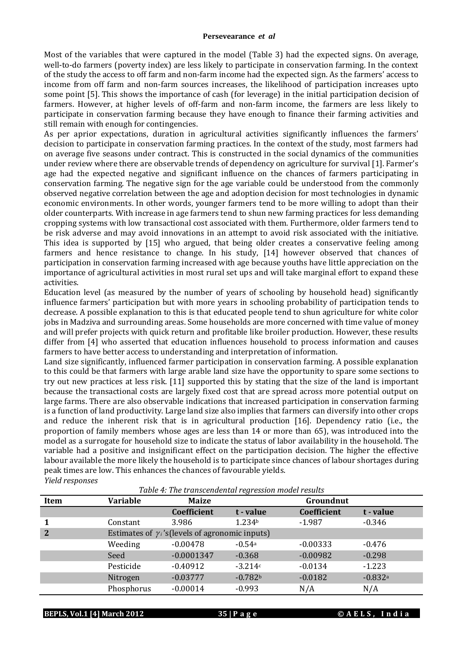#### **Persevearance** *et al*

Most of the variables that were captured in the model (Table 3) had the expected signs. On average, well-to-do farmers (poverty index) are less likely to participate in conservation farming. In the context of the study the access to off farm and non-farm income had the expected sign. As the farmers' access to income from off farm and non-farm sources increases, the likelihood of participation increases upto some point [5]. This shows the importance of cash (for leverage) in the initial participation decision of farmers. However, at higher levels of off-farm and non-farm income, the farmers are less likely to participate in conservation farming because they have enough to finance their farming activities and still remain with enough for contingencies.

As per aprior expectations, duration in agricultural activities significantly influences the farmers' decision to participate in conservation farming practices. In the context of the study, most farmers had on average five seasons under contract. This is constructed in the social dynamics of the communities under review where there are observable trends of dependency on agriculture for survival [1]. Farmer's age had the expected negative and significant influence on the chances of farmers participating in conservation farming. The negative sign for the age variable could be understood from the commonly observed negative correlation between the age and adoption decision for most technologies in dynamic economic environments. In other words, younger farmers tend to be more willing to adopt than their older counterparts. With increase in age farmers tend to shun new farming practices for less demanding cropping systems with low transactional cost associated with them. Furthermore, older farmers tend to be risk adverse and may avoid innovations in an attempt to avoid risk associated with the initiative. This idea is supported by [15] who argued, that being older creates a conservative feeling among farmers and hence resistance to change. In his study, [14] however observed that chances of participation in conservation farming increased with age because youths have little appreciation on the importance of agricultural activities in most rural set ups and will take marginal effort to expand these activities.

Education level (as measured by the number of years of schooling by household head) significantly influence farmers' participation but with more years in schooling probability of participation tends to decrease. A possible explanation to this is that educated people tend to shun agriculture for white color jobs in Madziva and surrounding areas. Some households are more concerned with time value of money and will prefer projects with quick return and profitable like broiler production. However, these results differ from [4] who asserted that education influences household to process information and causes farmers to have better access to understanding and interpretation of information.

Land size significantly, influenced farmer participation in conservation farming. A possible explanation to this could be that farmers with large arable land size have the opportunity to spare some sections to try out new practices at less risk. [11] supported this by stating that the size of the land is important because the transactional costs are largely fixed cost that are spread across more potential output on large farms. There are also observable indications that increased participation in conservation farming is a function of land productivity. Large land size also implies that farmers can diversify into other crops and reduce the inherent risk that is in agricultural production [16]. Dependency ratio (i.e., the proportion of family members whose ages are less than 14 or more than 65), was introduced into the model as a surrogate for household size to indicate the status of labor availability in the household. The variable had a positive and insignificant effect on the participation decision. The higher the effective labour available the more likely the household is to participate since chances of labour shortages during peak times are low. This enhances the chances of favourable yields. *Yield responses*

*Table 4: The transcendental regression model results*

| Item         | <b>Variable</b> | <b>Maize</b>                                          | ັ<br>Groundnut |             |           |
|--------------|-----------------|-------------------------------------------------------|----------------|-------------|-----------|
|              |                 | Coefficient                                           | t - value      | Coefficient | t - value |
| 1            | Constant        | 3.986                                                 | 1.234b         | $-1.987$    | $-0.346$  |
| $\mathbf{2}$ |                 | Estimates of $\gamma$ 's (levels of agronomic inputs) |                |             |           |
|              | Weeding         | $-0.00478$                                            | $-0.54a$       | $-0.00333$  | $-0.476$  |
|              | Seed            | $-0.0001347$                                          | $-0.368$       | $-0.00982$  | $-0.298$  |
|              | Pesticide       | $-0.40912$                                            | $-3.214c$      | $-0.0134$   | $-1.223$  |
|              | Nitrogen        | $-0.03777$                                            | $-0.782b$      | $-0.0182$   | $-0.832a$ |
|              | Phosphorus      | $-0.00014$                                            | $-0.993$       | N/A         | N/A       |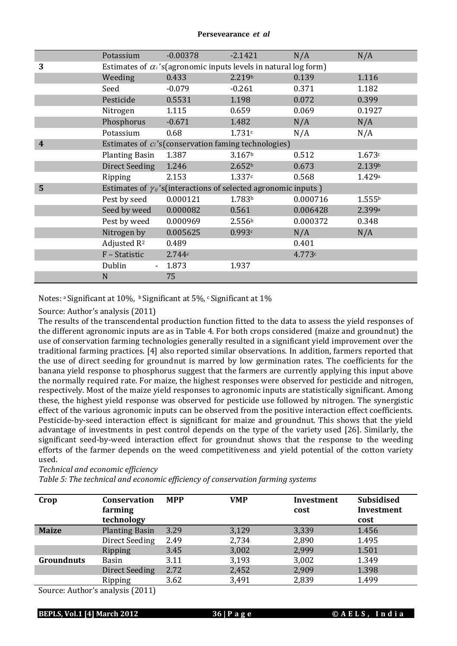|                         | Potassium                                                               | $-0.00378$ | $-2.1421$                                                                | N/A      | N/A                |  |
|-------------------------|-------------------------------------------------------------------------|------------|--------------------------------------------------------------------------|----------|--------------------|--|
| 3                       | Estimates of $\alpha_i$ 's(agronomic inputs levels in natural log form) |            |                                                                          |          |                    |  |
|                         | Weeding                                                                 | 0.433      | 2.219b                                                                   | 0.139    | 1.116              |  |
|                         | Seed                                                                    | $-0.079$   | $-0.261$                                                                 | 0.371    | 1.182              |  |
|                         | Pesticide                                                               | 0.5531     | 1.198                                                                    | 0.072    | 0.399              |  |
|                         | Nitrogen                                                                | 1.115      | 0.659                                                                    | 0.069    | 0.1927             |  |
|                         | Phosphorus                                                              | $-0.671$   | 1.482                                                                    | N/A      | N/A                |  |
|                         | Potassium                                                               | 0.68       | 1.731c                                                                   | N/A      | N/A                |  |
| $\overline{\mathbf{4}}$ |                                                                         |            | Estimates of ci's (conservation faming technologies)                     |          |                    |  |
|                         | <b>Planting Basin</b>                                                   | 1.387      | 3.167 <sup>b</sup>                                                       | 0.512    | 1.673c             |  |
|                         | <b>Direct Seeding</b>                                                   | 1.246      | 2.652 <sup>b</sup>                                                       | 0.673    | 2.139b             |  |
|                         | Ripping                                                                 | 2.153      | 1.337c                                                                   | 0.568    | 1.429a             |  |
| 5                       |                                                                         |            | Estimates of $\gamma_{ij}$ 's(interactions of selected agronomic inputs) |          |                    |  |
|                         | Pest by seed                                                            | 0.000121   | 1.783 <sup>b</sup>                                                       | 0.000716 | 1.555 <sup>b</sup> |  |
|                         | Seed by weed                                                            | 0.000082   | 0.561                                                                    | 0.006428 | 2.399a             |  |
|                         | Pest by weed                                                            | 0.000969   | 2.556 <sup>b</sup>                                                       | 0.000372 | 0.348              |  |
|                         | Nitrogen by                                                             | 0.005625   | 0.993c                                                                   | N/A      | N/A                |  |
|                         | Adjusted R <sup>2</sup>                                                 | 0.489      |                                                                          | 0.401    |                    |  |
|                         | F - Statistic                                                           | 2.744c     |                                                                          | 4.773c   |                    |  |
|                         | Dublin                                                                  | 1.873      | 1.937                                                                    |          |                    |  |
|                         | N                                                                       | 75         |                                                                          |          |                    |  |

Notes: a Significant at 10%, b Significant at 5%, c Significant at 1%

## Source: Author's analysis (2011)

The results of the transcendental production function fitted to the data to assess the yield responses of the different agronomic inputs are as in Table 4. For both crops considered (maize and groundnut) the use of conservation farming technologies generally resulted in a significant yield improvement over the traditional farming practices. [4] also reported similar observations. In addition, farmers reported that the use of direct seeding for groundnut is marred by low germination rates. The coefficients for the banana yield response to phosphorus suggest that the farmers are currently applying this input above the normally required rate. For maize, the highest responses were observed for pesticide and nitrogen, respectively. Most of the maize yield responses to agronomic inputs are statistically significant. Among these, the highest yield response was observed for pesticide use followed by nitrogen. The synergistic effect of the various agronomic inputs can be observed from the positive interaction effect coefficients. Pesticide-by-seed interaction effect is significant for maize and groundnut. This shows that the yield advantage of investments in pest control depends on the type of the variety used [26]. Similarly, the significant seed-by-weed interaction effect for groundnut shows that the response to the weeding efforts of the farmer depends on the weed competitiveness and yield potential of the cotton variety used.

*Technical and economic efficiency*

*Table 5: The technical and economic efficiency of conservation farming systems*

| Crop                              | <b>Conservation</b><br>farming | <b>MPP</b> | <b>VMP</b> | Investment<br>cost | <b>Subsidised</b><br>Investment |  |
|-----------------------------------|--------------------------------|------------|------------|--------------------|---------------------------------|--|
|                                   | technology                     |            |            |                    | cost                            |  |
| <b>Maize</b>                      | <b>Planting Basin</b>          | 3.29       | 3,129      | 3,339              | 1.456                           |  |
|                                   | Direct Seeding                 | 2.49       | 2,734      | 2,890              | 1.495                           |  |
|                                   | <b>Ripping</b>                 | 3.45       | 3,002      | 2,999              | 1.501                           |  |
| <b>Groundnuts</b>                 | Basin                          | 3.11       | 3,193      | 3,002              | 1.349                           |  |
|                                   | <b>Direct Seeding</b>          | 2.72       | 2,452      | 2,909              | 1.398                           |  |
|                                   | Ripping                        | 3.62       | 3,491      | 2,839              | 1.499                           |  |
| $\alpha$ $\alpha$ $\beta$ $\beta$ |                                |            |            |                    |                                 |  |

Source: Author's analysis (2011)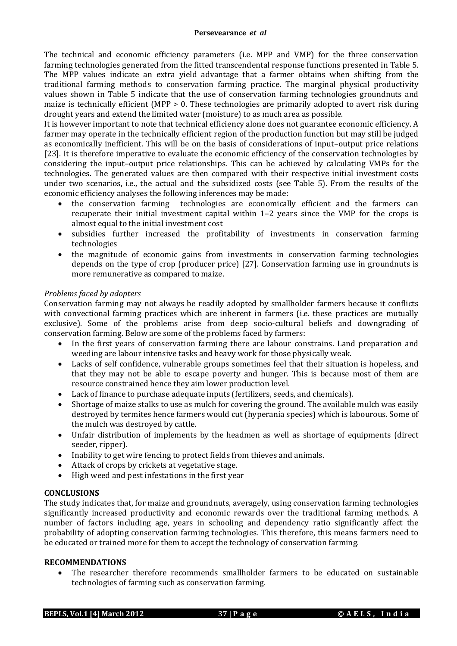The technical and economic efficiency parameters (i.e. MPP and VMP) for the three conservation farming technologies generated from the fitted transcendental response functions presented in Table 5. The MPP values indicate an extra yield advantage that a farmer obtains when shifting from the traditional farming methods to conservation farming practice. The marginal physical productivity values shown in Table 5 indicate that the use of conservation farming technologies groundnuts and maize is technically efficient (MPP  $> 0$ . These technologies are primarily adopted to avert risk during drought years and extend the limited water (moisture) to as much area as possible.

It is however important to note that technical efficiency alone does not guarantee economic efficiency. A farmer may operate in the technically efficient region of the production function but may still be judged as economically inefficient. This will be on the basis of considerations of input–output price relations [23]. It is therefore imperative to evaluate the economic efficiency of the conservation technologies by considering the input–output price relationships. This can be achieved by calculating VMPs for the technologies. The generated values are then compared with their respective initial investment costs under two scenarios, i.e., the actual and the subsidized costs (see Table 5). From the results of the economic efficiency analyses the following inferences may be made:

- the conservation farming technologies are economically efficient and the farmers can recuperate their initial investment capital within 1–2 years since the VMP for the crops is almost equal to the initial investment cost
- subsidies further increased the profitability of investments in conservation farming technologies
- the magnitude of economic gains from investments in conservation farming technologies depends on the type of crop (producer price) [27]. Conservation farming use in groundnuts is more remunerative as compared to maize.

# *Problems faced by adopters*

Conservation farming may not always be readily adopted by smallholder farmers because it conflicts with convectional farming practices which are inherent in farmers (i.e. these practices are mutually exclusive). Some of the problems arise from deep socio-cultural beliefs and downgrading of conservation farming. Below are some of the problems faced by farmers:

- In the first years of conservation farming there are labour constrains. Land preparation and weeding are labour intensive tasks and heavy work for those physically weak.
- Lacks of self confidence, vulnerable groups sometimes feel that their situation is hopeless, and that they may not be able to escape poverty and hunger. This is because most of them are resource constrained hence they aim lower production level.
- Lack of finance to purchase adequate inputs (fertilizers, seeds, and chemicals).
- Shortage of maize stalks to use as mulch for covering the ground. The available mulch was easily destroyed by termites hence farmers would cut (hyperania species) which is labourous. Some of the mulch was destroyed by cattle.
- Unfair distribution of implements by the headmen as well as shortage of equipments (direct seeder, ripper).
- Inability to get wire fencing to protect fields from thieves and animals.
- Attack of crops by crickets at vegetative stage.
- High weed and pest infestations in the first year

# **CONCLUSIONS**

The study indicates that, for maize and groundnuts, averagely, using conservation farming technologies significantly increased productivity and economic rewards over the traditional farming methods. A number of factors including age, years in schooling and dependency ratio significantly affect the probability of adopting conservation farming technologies. This therefore, this means farmers need to be educated or trained more for them to accept the technology of conservation farming.

## **RECOMMENDATIONS**

 The researcher therefore recommends smallholder farmers to be educated on sustainable technologies of farming such as conservation farming.